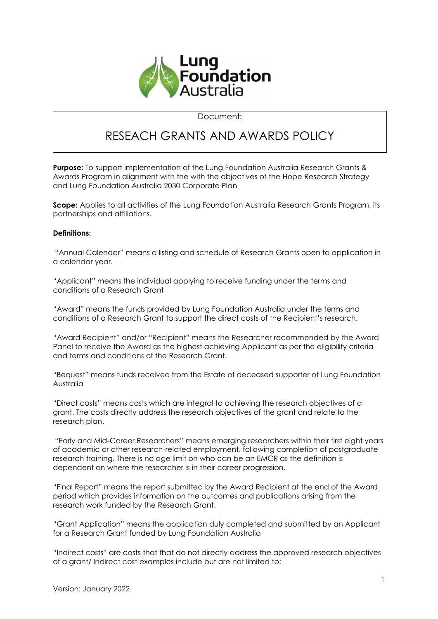

Document:

## RESEACH GRANTS AND AWARDS POLICY

**Purpose:** To support implementation of the Lung Foundation Australia Research Grants & Awards Program in alignment with the with the objectives of the Hope Research Strategy and Lung Foundation Australia 2030 Corporate Plan

**Scope:** Applies to all activities of the Lung Foundation Australia Research Grants Program, its partnerships and affiliations.

#### **Definitions:**

"Annual Calendar" means a listing and schedule of Research Grants open to application in a calendar year.

"Applicant" means the individual applying to receive funding under the terms and conditions of a Research Grant

"Award" means the funds provided by Lung Foundation Australia under the terms and conditions of a Research Grant to support the direct costs of the Recipient's research.

"Award Recipient" and/or "Recipient" means the Researcher recommended by the Award Panel to receive the Award as the highest achieving Applicant as per the eligibility criteria and terms and conditions of the Research Grant.

"Bequest" means funds received from the Estate of deceased supporter of Lung Foundation Australia

"Direct costs" means costs which are integral to achieving the research objectives of a grant. The costs directly address the research objectives of the grant and relate to the research plan.

"Early and Mid-Career Researchers" means emerging researchers within their first eight years of academic or other research-related employment, following completion of postgraduate research training. There is no age limit on who can be an EMCR as the definition is dependent on where the researcher is in their career progression.

"Final Report" means the report submitted by the Award Recipient at the end of the Award period which provides information on the outcomes and publications arising from the research work funded by the Research Grant.

"Grant Application" means the application duly completed and submitted by an Applicant for a Research Grant funded by Lung Foundation Australia

"Indirect costs" are costs that that do not directly address the approved research objectives of a grant/ Indirect cost examples include but are not limited to: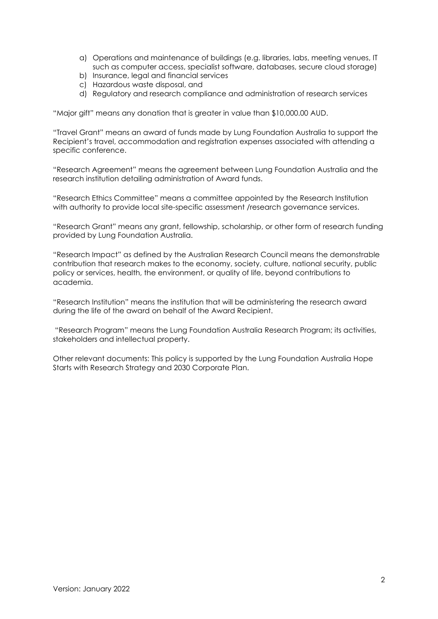- a) Operations and maintenance of buildings (e.g. libraries, labs, meeting venues, IT such as computer access, specialist software, databases, secure cloud storage)
- b) Insurance, legal and financial services
- c) Hazardous waste disposal, and
- d) Regulatory and research compliance and administration of research services

"Major gift" means any donation that is greater in value than \$10,000.00 AUD.

"Travel Grant" means an award of funds made by Lung Foundation Australia to support the Recipient's travel, accommodation and registration expenses associated with attending a specific conference.

"Research Agreement" means the agreement between Lung Foundation Australia and the research institution detailing administration of Award funds.

"Research Ethics Committee" means a committee appointed by the Research Institution with authority to provide local site-specific assessment /research governance services.

"Research Grant" means any grant, fellowship, scholarship, or other form of research funding provided by Lung Foundation Australia.

"Research Impact" as defined by the Australian Research Council means the demonstrable contribution that research makes to the economy, society, culture, national security, public policy or services, health, the environment, or quality of life, beyond contributions to academia.

"Research Institution" means the institution that will be administering the research award during the life of the award on behalf of the Award Recipient.

"Research Program" means the Lung Foundation Australia Research Program; its activities, stakeholders and intellectual property.

Other relevant documents: This policy is supported by the Lung Foundation Australia Hope Starts with Research Strategy and 2030 Corporate Plan.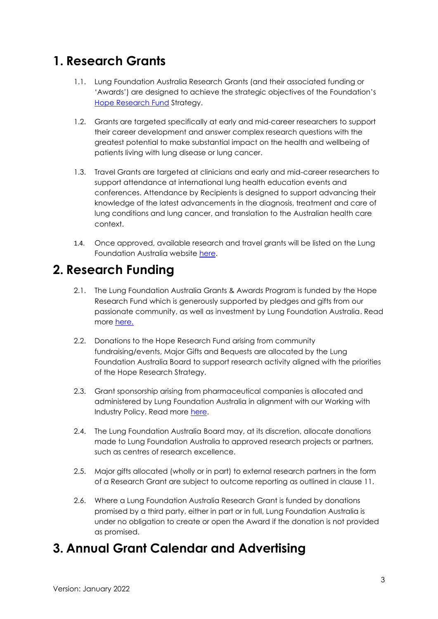## **1. Research Grants**

- 1.1. Lung Foundation Australia Research Grants (and their associated funding or 'Awards') are designed to achieve the strategic objectives of the Foundation's [Hope Research Fund](https://lungfoundation.com.au/hope-research-fund/) Strategy.
- 1.2. Grants are targeted specifically at early and mid-career researchers to support their career development and answer complex research questions with the greatest potential to make substantial impact on the health and wellbeing of patients living with lung disease or lung cancer.
- 1.3. Travel Grants are targeted at clinicians and early and mid-career researchers to support attendance at international lung health education events and conferences. Attendance by Recipients is designed to support advancing their knowledge of the latest advancements in the diagnosis, treatment and care of lung conditions and lung cancer, and translation to the Australian health care context.
- 1.4. Once approved, available research and travel grants will be listed on the Lung Foundation Australia website [here.](https://lungfoundation.com.au/research/awards-and-grants/apply-for-funding/)

## **2. Research Funding**

- 2.1. The Lung Foundation Australia Grants & Awards Program is funded by the Hope Research Fund which is generously supported by pledges and gifts from our passionate community, as well as investment by Lung Foundation Australia. Read more [here.](https://lungfoundation.com.au/hope-research-fund/)
- 2.2. Donations to the Hope Research Fund arising from community fundraising/events, Major Gifts and Bequests are allocated by the Lung Foundation Australia Board to support research activity aligned with the priorities of the Hope Research Strategy.
- 2.3. Grant sponsorship arising from pharmaceutical companies is allocated and administered by Lung Foundation Australia in alignment with our Working with Industry Policy. Read more [here.](https://lungfoundation.com.au/resources/lung-foundation-australia-working-with-industry-policy/)
- 2.4. The Lung Foundation Australia Board may, at its discretion, allocate donations made to Lung Foundation Australia to approved research projects or partners, such as centres of research excellence.
- 2.5. Major gifts allocated (wholly or in part) to external research partners in the form of a Research Grant are subject to outcome reporting as outlined in clause 11.
- 2.6. Where a Lung Foundation Australia Research Grant is funded by donations promised by a third party, either in part or in full, Lung Foundation Australia is under no obligation to create or open the Award if the donation is not provided as promised.

## **3. Annual Grant Calendar and Advertising**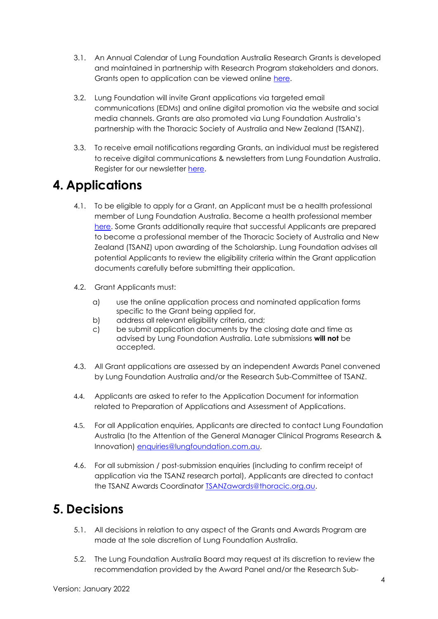- 3.1. An Annual Calendar of Lung Foundation Australia Research Grants is developed and maintained in partnership with Research Program stakeholders and donors. Grants open to application can be viewed online [here.](https://lungfoundation.com.au/research/awards-and-grants/apply-for-funding/)
- 3.2. Lung Foundation will invite Grant applications via targeted email communications (EDMs) and online digital promotion via the website and social media channels. Grants are also promoted via Lung Foundation Australia's partnership with the Thoracic Society of Australia and New Zealand (TSANZ).
- 3.3. To receive email notifications regarding Grants, an individual must be registered to receive digital communications & newsletters from Lung Foundation Australia. Register for our newsletter [here.](https://www.tfaforms.com/4701664)

## **4. Applications**

- 4.1. To be eligible to apply for a Grant, an Applicant must be a health professional member of Lung Foundation Australia. Become a health professional member [here.](https://lungfoundationaustralia.secure.force.com/aakpay__checkoutm?key=a380I000002KAqi&Token=8aZVXK4_2F0sl5TZ_2BwCr3fenzY1J1JN_2FtVaU1OHhF38D4_3D) Some Grants additionally require that successful Applicants are prepared to become a professional member of the Thoracic Society of Australia and New Zealand (TSANZ) upon awarding of the Scholarship. Lung Foundation advises all potential Applicants to review the eligibility criteria within the Grant application documents carefully before submitting their application.
- 4.2. Grant Applicants must:
	- a) use the online application process and nominated application forms specific to the Grant being applied for,
	- b) address all relevant eligibility criteria, and;
	- c) be submit application documents by the closing date and time as advised by Lung Foundation Australia. Late submissions **will not** be accepted.
- 4.3. All Grant applications are assessed by an independent Awards Panel convened by Lung Foundation Australia and/or the Research Sub-Committee of TSANZ.
- 4.4. Applicants are asked to refer to the Application Document for information related to Preparation of Applications and Assessment of Applications.
- 4.5. For all Application enquiries, Applicants are directed to contact Lung Foundation Australia (to the Attention of the General Manager Clinical Programs Research & Innovation) [enquiries@lungfoundation.com.au.](mailto:enquiries@lungfoundation.com.au)
- 4.6. For all submission / post-submission enquiries (including to confirm receipt of application via the TSANZ research portal), Applicants are directed to contact the TSANZ Awards Coordinator [TSANZawards@thoracic.org.au.](mailto:TSANZawards@thoracic.org.au)

# **5. Decisions**

- 5.1. All decisions in relation to any aspect of the Grants and Awards Program are made at the sole discretion of Lung Foundation Australia.
- 5.2. The Lung Foundation Australia Board may request at its discretion to review the recommendation provided by the Award Panel and/or the Research Sub-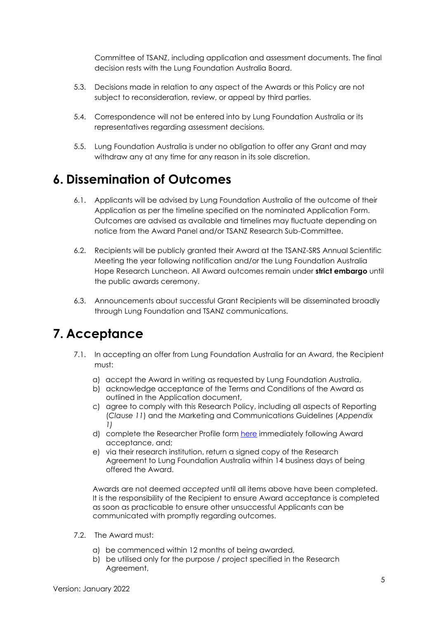Committee of TSANZ, including application and assessment documents. The final decision rests with the Lung Foundation Australia Board.

- 5.3. Decisions made in relation to any aspect of the Awards or this Policy are not subject to reconsideration, review, or appeal by third parties.
- 5.4. Correspondence will not be entered into by Lung Foundation Australia or its representatives regarding assessment decisions.
- 5.5. Lung Foundation Australia is under no obligation to offer any Grant and may withdraw any at any time for any reason in its sole discretion.

## **6. Dissemination of Outcomes**

- 6.1. Applicants will be advised by Lung Foundation Australia of the outcome of their Application as per the timeline specified on the nominated Application Form. Outcomes are advised as available and timelines may fluctuate depending on notice from the Award Panel and/or TSANZ Research Sub-Committee.
- 6.2. Recipients will be publicly granted their Award at the TSANZ-SRS Annual Scientific Meeting the year following notification and/or the Lung Foundation Australia Hope Research Luncheon. All Award outcomes remain under **strict embargo** until the public awards ceremony.
- 6.3. Announcements about successful Grant Recipients will be disseminated broadly through Lung Foundation and TSANZ communications.

## **7. Acceptance**

- 7.1. In accepting an offer from Lung Foundation Australia for an Award, the Recipient must:
	- a) accept the Award in writing as requested by Lung Foundation Australia,
	- b) acknowledge acceptance of the Terms and Conditions of the Award as outlined in the Application document,
	- c) agree to comply with this Research Policy, including all aspects of Reporting (*Clause 11*) and the Marketing and Communications Guidelines (*Appendix 1)*
	- d) complete the Researcher Profile form [here](https://www.tfaforms.com/4778664) immediately following Award acceptance, and;
	- e) via their research institution, return a signed copy of the Research Agreement to Lung Foundation Australia within 14 business days of being offered the Award.

Awards are not deemed *accepted* until all items above have been completed. It is the responsibility of the Recipient to ensure Award acceptance is completed as soon as practicable to ensure other unsuccessful Applicants can be communicated with promptly regarding outcomes.

- 7.2. The Award must:
	- a) be commenced within 12 months of being awarded,
	- b) be utilised only for the purpose / project specified in the Research Agreement,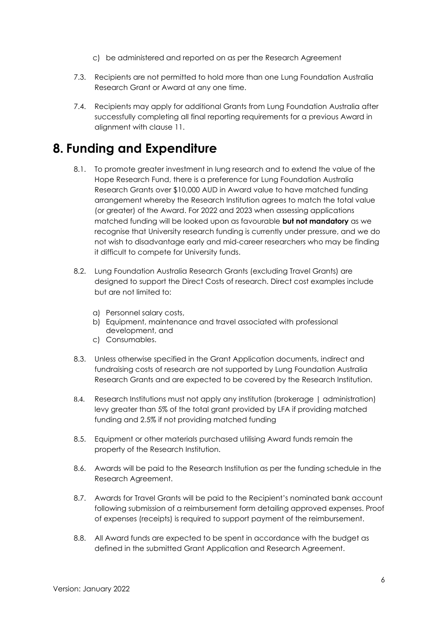- c) be administered and reported on as per the Research Agreement
- 7.3. Recipients are not permitted to hold more than one Lung Foundation Australia Research Grant or Award at any one time.
- 7.4. Recipients may apply for additional Grants from Lung Foundation Australia after successfully completing all final reporting requirements for a previous Award in alignment with clause 11.

### **8. Funding and Expenditure**

- 8.1. To promote greater investment in lung research and to extend the value of the Hope Research Fund, there is a preference for Lung Foundation Australia Research Grants over \$10,000 AUD in Award value to have matched funding arrangement whereby the Research Institution agrees to match the total value (or greater) of the Award. For 2022 and 2023 when assessing applications matched funding will be looked upon as favourable **but not mandatory** as we recognise that University research funding is currently under pressure, and we do not wish to disadvantage early and mid-career researchers who may be finding it difficult to compete for University funds.
- 8.2. Lung Foundation Australia Research Grants (excluding Travel Grants) are designed to support the Direct Costs of research. Direct cost examples include but are not limited to:
	- a) Personnel salary costs,
	- b) Equipment, maintenance and travel associated with professional development, and
	- c) Consumables.
- 8.3. Unless otherwise specified in the Grant Application documents, indirect and fundraising costs of research are not supported by Lung Foundation Australia Research Grants and are expected to be covered by the Research Institution.
- 8.4. Research Institutions must not apply any institution (brokerage | administration) levy greater than 5% of the total grant provided by LFA if providing matched funding and 2.5% if not providing matched funding
- 8.5. Equipment or other materials purchased utilising Award funds remain the property of the Research Institution.
- 8.6. Awards will be paid to the Research Institution as per the funding schedule in the Research Agreement.
- 8.7. Awards for Travel Grants will be paid to the Recipient's nominated bank account following submission of a reimbursement form detailing approved expenses. Proof of expenses (receipts) is required to support payment of the reimbursement.
- 8.8. All Award funds are expected to be spent in accordance with the budget as defined in the submitted Grant Application and Research Agreement.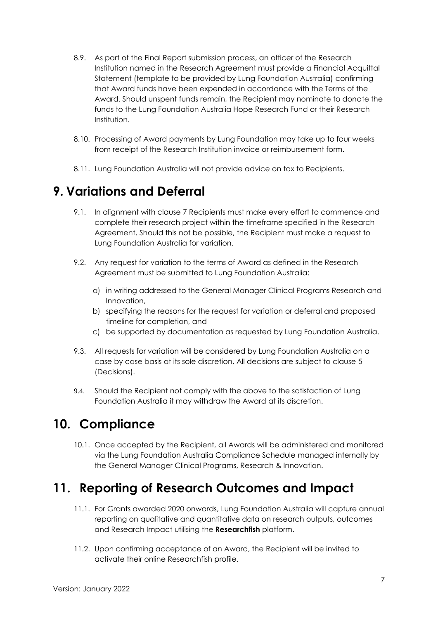- 8.9. As part of the Final Report submission process, an officer of the Research Institution named in the Research Agreement must provide a Financial Acquittal Statement (template to be provided by Lung Foundation Australia) confirming that Award funds have been expended in accordance with the Terms of the Award. Should unspent funds remain, the Recipient may nominate to donate the funds to the Lung Foundation Australia Hope Research Fund or their Research Institution.
- 8.10. Processing of Award payments by Lung Foundation may take up to four weeks from receipt of the Research Institution invoice or reimbursement form.
- 8.11. Lung Foundation Australia will not provide advice on tax to Recipients.

## **9. Variations and Deferral**

- 9.1. In alignment with clause 7 Recipients must make every effort to commence and complete their research project within the timeframe specified in the Research Agreement. Should this not be possible, the Recipient must make a request to Lung Foundation Australia for variation.
- 9.2. Any request for variation to the terms of Award as defined in the Research Agreement must be submitted to Lung Foundation Australia:
	- a) in writing addressed to the General Manager Clinical Programs Research and Innovation,
	- b) specifying the reasons for the request for variation or deferral and proposed timeline for completion, and
	- c) be supported by documentation as requested by Lung Foundation Australia.
- 9.3. All requests for variation will be considered by Lung Foundation Australia on a case by case basis at its sole discretion. All decisions are subject to clause 5 (Decisions).
- 9.4. Should the Recipient not comply with the above to the satisfaction of Lung Foundation Australia it may withdraw the Award at its discretion.

## **10. Compliance**

10.1. Once accepted by the Recipient, all Awards will be administered and monitored via the Lung Foundation Australia Compliance Schedule managed internally by the General Manager Clinical Programs, Research & Innovation.

# **11. Reporting of Research Outcomes and Impact**

- 11.1. For Grants awarded 2020 onwards, Lung Foundation Australia will capture annual reporting on qualitative and quantitative data on research outputs, outcomes and Research Impact utilising the **[Researchfish](https://www.researchfish.net/)** platform.
- 11.2. Upon confirming acceptance of an Award, the Recipient will be invited to activate their online Researchfish profile.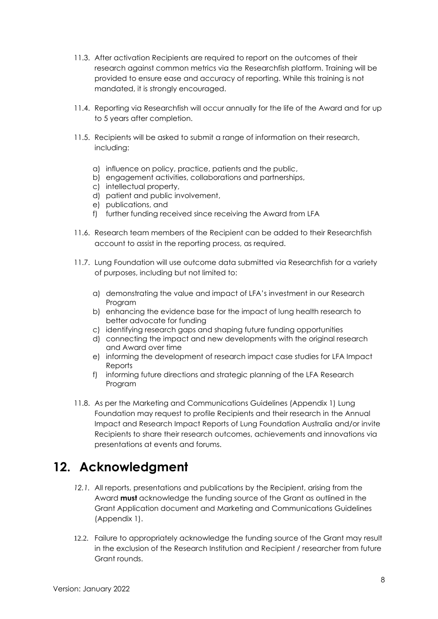- 11.3. After activation Recipients are required to report on the outcomes of their research against common metrics via the Researchfish platform. Training will be provided to ensure ease and accuracy of reporting. While this training is not mandated, it is strongly encouraged.
- 11.4. Reporting via Researchfish will occur annually for the life of the Award and for up to 5 years after completion.
- 11.5. Recipients will be asked to submit a range of information on their research, including:
	- a) influence on policy, practice, patients and the public,
	- b) engagement activities, collaborations and partnerships,
	- c) intellectual property,
	- d) patient and public involvement,
	- e) publications, and
	- f) further funding received since receiving the Award from LFA
- 11.6. Research team members of the Recipient can be added to their Researchfish account to assist in the reporting process, as required.
- 11.7. Lung Foundation will use outcome data submitted via Researchfish for a variety of purposes, including but not limited to:
	- a) demonstrating the value and impact of LFA's investment in our Research Program
	- b) enhancing the evidence base for the impact of lung health research to better advocate for funding
	- c) identifying research gaps and shaping future funding opportunities
	- d) connecting the impact and new developments with the original research and Award over time
	- e) informing the development of research impact case studies for LFA Impact Reports
	- f) informing future directions and strategic planning of the LFA Research Program
- 11.8. As per the Marketing and Communications Guidelines (Appendix 1) Lung Foundation may request to profile Recipients and their research in the Annual Impact and Research Impact Reports of Lung Foundation Australia and/or invite Recipients to share their research outcomes, achievements and innovations via presentations at events and forums.

## **12. Acknowledgment**

- *12.1.* All reports, presentations and publications by the Recipient, arising from the Award **must** acknowledge the funding source of the Grant as outlined in the Grant Application document and Marketing and Communications Guidelines (Appendix 1).
- 12.2. Failure to appropriately acknowledge the funding source of the Grant may result in the exclusion of the Research Institution and Recipient / researcher from future Grant rounds.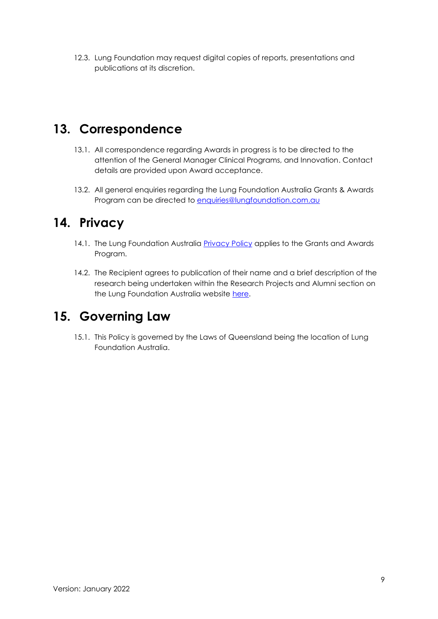12.3. Lung Foundation may request digital copies of reports, presentations and publications at its discretion.

## **13. Correspondence**

- 13.1. All correspondence regarding Awards in progress is to be directed to the attention of the General Manager Clinical Programs, and Innovation. Contact details are provided upon Award acceptance.
- 13.2. All general enquiries regarding the Lung Foundation Australia Grants & Awards Program can be directed to [enquiries@lungfoundation.com.au](mailto:enquiries@lungfoundation.com.au)

## **14. Privacy**

- 14.1. The Lung Foundation Australia [Privacy Policy](https://lungfoundation.com.au/about/privacy-policy/) applies to the Grants and Awards Program.
- 14.2. The Recipient agrees to publication of their name and a brief description of the research being undertaken within the Research Projects and Alumni section on the Lung Foundation Australia website [here.](https://lungfoundation.com.au/researchers/)

### **15. Governing Law**

15.1. This Policy is governed by the Laws of Queensland being the location of Lung Foundation Australia.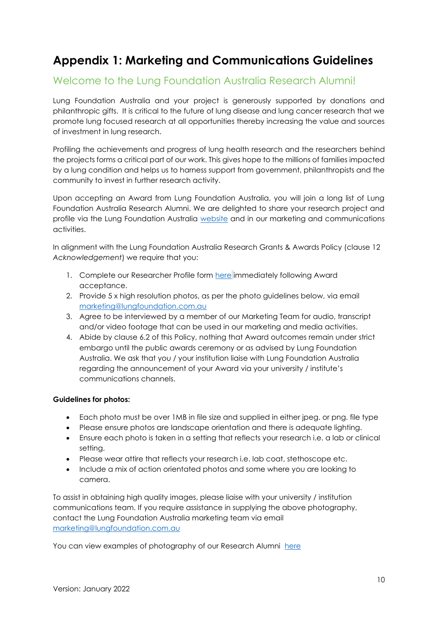## **Appendix 1: Marketing and Communications Guidelines**

### Welcome to the Lung Foundation Australia Research Alumni!

Lung Foundation Australia and your project is generously supported by donations and philanthropic gifts. It is critical to the future of lung disease and lung cancer research that we promote lung focused research at all opportunities thereby increasing the value and sources of investment in lung research.

Profiling the achievements and progress of lung health research and the researchers behind the projects forms a critical part of our work. This gives hope to the millions of families impacted by a lung condition and helps us to harness support from government, philanthropists and the community to invest in further research activity.

Upon accepting an Award from Lung Foundation Australia, you will join a long list of Lung Foundation Australia Research Alumni. We are delighted to share your research project and profile via the Lung Foundation Australia [website](https://lungfoundation.com.au/researchers/) and in our marketing and communications activities.

In alignment with the Lung Foundation Australia Research Grants & Awards Policy (clause 12 *Acknowledgement*) we require that you:

- 1. Complete our Researcher Profile form [here](https://www.tfaforms.com/4778664) immediately following Award acceptance.
- 2. Provide 5 x high resolution photos, as per the photo guidelines below, via email [marketing@lungfoundation.com.au](mailto:marketing@lungfoundation.com.au)
- 3. Agree to be interviewed by a member of our Marketing Team for audio, transcript and/or video footage that can be used in our marketing and media activities.
- 4. Abide by clause 6.2 of this Policy, nothing that Award outcomes remain under strict embargo until the public awards ceremony or as advised by Lung Foundation Australia. We ask that you / your institution liaise with Lung Foundation Australia regarding the announcement of your Award via your university / institute's communications channels.

#### **Guidelines for photos:**

- Each photo must be over 1MB in file size and supplied in either jpeg. or png. file type
- Please ensure photos are landscape orientation and there is adequate lighting.
- Ensure each photo is taken in a setting that reflects your research i.e. a lab or clinical setting.
- Please wear attire that reflects your research i.e. lab coat, stethoscope etc.
- Include a mix of action orientated photos and some where you are looking to camera.

To assist in obtaining high quality images, please liaise with your university / institution communications team. If you require assistance in supplying the above photography, contact the Lung Foundation Australia marketing team via email [marketing@lungfoundation.com.au](mailto:marketing@lungfoundation.com.au)

You can view examples of photography of our Research Alumni [here](https://lungfoundation.com.au/researchers/)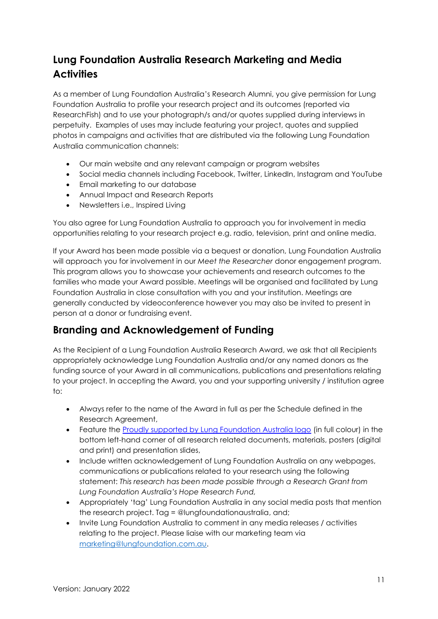### **Lung Foundation Australia Research Marketing and Media Activities**

As a member of Lung Foundation Australia's Research Alumni, you give permission for Lung Foundation Australia to profile your research project and its outcomes (reported via ResearchFish) and to use your photograph/s and/or quotes supplied during interviews in perpetuity. Examples of uses may include featuring your project, quotes and supplied photos in campaigns and activities that are distributed via the following Lung Foundation Australia communication channels:

- Our main website and any relevant campaign or program websites
- Social media channels including Facebook, Twitter, LinkedIn, Instagram and YouTube
- Email marketing to our database
- Annual Impact and Research Reports
- Newsletters i.e., Inspired Living

You also agree for Lung Foundation Australia to approach you for involvement in media opportunities relating to your research project e.g. radio, television, print and online media.

If your Award has been made possible via a bequest or donation, Lung Foundation Australia will approach you for involvement in our *Meet the Researcher* donor engagement program. This program allows you to showcase your achievements and research outcomes to the families who made your Award possible. Meetings will be organised and facilitated by Lung Foundation Australia in close consultation with you and your institution. Meetings are generally conducted by videoconference however you may also be invited to present in person at a donor or fundraising event.

### **Branding and Acknowledgement of Funding**

As the Recipient of a Lung Foundation Australia Research Award, we ask that all Recipients appropriately acknowledge Lung Foundation Australia and/or any named donors as the funding source of your Award in all communications, publications and presentations relating to your project. In accepting the Award, you and your supporting university / institution agree to:

- Always refer to the name of the Award in full as per the Schedule defined in the Research Agreement,
- Feature the **Proudly supported by Lung Foundation Australia logo** (in full colour) in the bottom left-hand corner of all research related documents, materials, posters (digital and print) and presentation slides,
- Include written acknowledgement of Lung Foundation Australia on any webpages, communications or publications related to your research using the following statement: *This research has been made possible through a Research Grant from Lung Foundation Australia's Hope Research Fund,*
- Appropriately 'tag' Lung Foundation Australia in any social media posts that mention the research project. Tag = @lungfoundationaustralia, and;
- Invite Lung Foundation Australia to comment in any media releases / activities relating to the project. Please liaise with our marketing team via [marketing@lungfoundation.com.au.](mailto:marketing@lungfoundation.com.au)